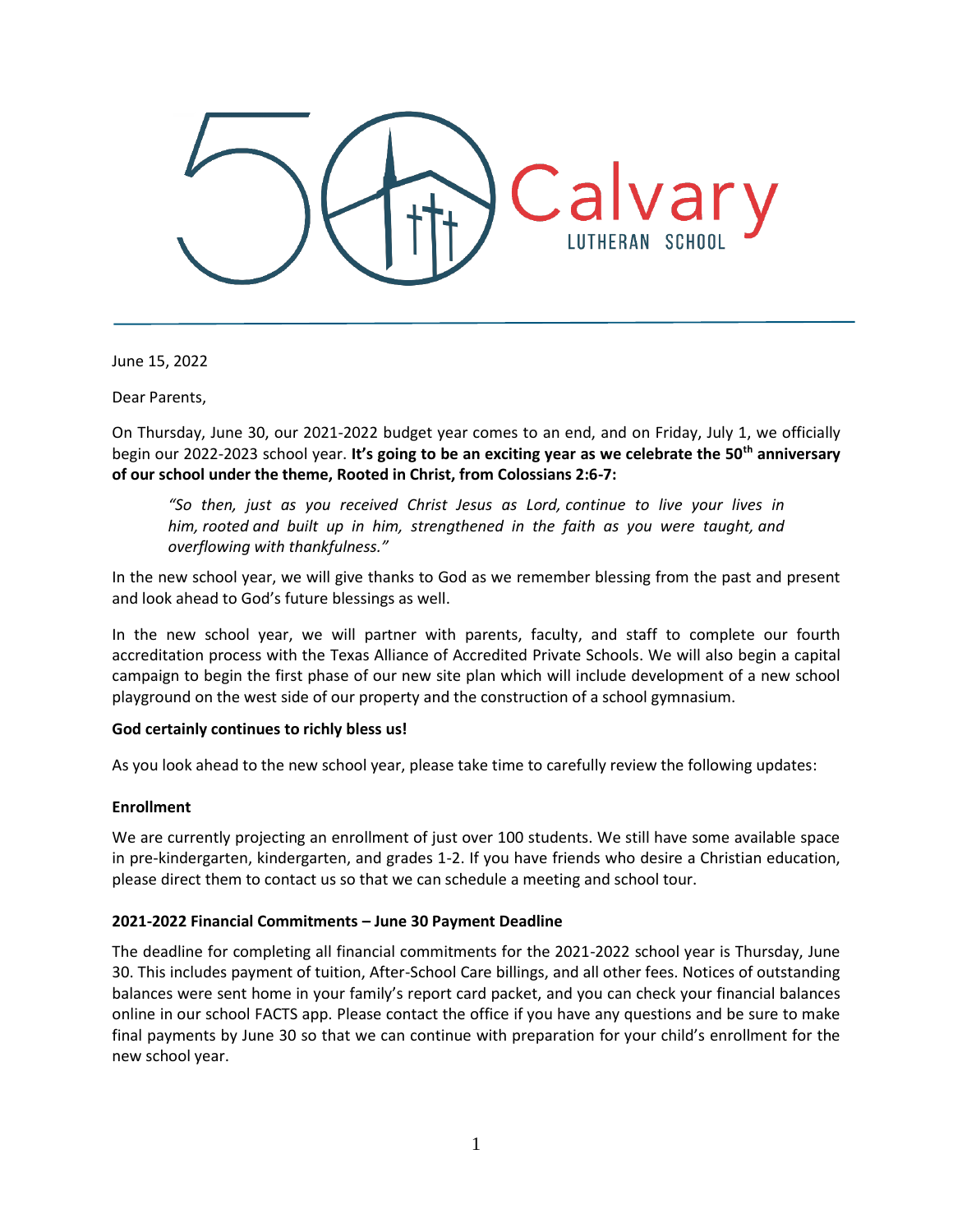

June 15, 2022

Dear Parents,

On Thursday, June 30, our 2021-2022 budget year comes to an end, and on Friday, July 1, we officially begin our 2022-2023 school year. **It's going to be an exciting year as we celebrate the 50th anniversary of our school under the theme, Rooted in Christ, from Colossians 2:6-7:**

*"So then, just as you received Christ Jesus as Lord, continue to live your lives in him, rooted and built up in him, strengthened in the faith as you were taught, and overflowing with thankfulness."*

In the new school year, we will give thanks to God as we remember blessing from the past and present and look ahead to God's future blessings as well.

In the new school year, we will partner with parents, faculty, and staff to complete our fourth accreditation process with the Texas Alliance of Accredited Private Schools. We will also begin a capital campaign to begin the first phase of our new site plan which will include development of a new school playground on the west side of our property and the construction of a school gymnasium.

# **God certainly continues to richly bless us!**

As you look ahead to the new school year, please take time to carefully review the following updates:

#### **Enrollment**

We are currently projecting an enrollment of just over 100 students. We still have some available space in pre-kindergarten, kindergarten, and grades 1-2. If you have friends who desire a Christian education, please direct them to contact us so that we can schedule a meeting and school tour.

# **2021-2022 Financial Commitments – June 30 Payment Deadline**

The deadline for completing all financial commitments for the 2021-2022 school year is Thursday, June 30. This includes payment of tuition, After-School Care billings, and all other fees. Notices of outstanding balances were sent home in your family's report card packet, and you can check your financial balances online in our school FACTS app. Please contact the office if you have any questions and be sure to make final payments by June 30 so that we can continue with preparation for your child's enrollment for the new school year.